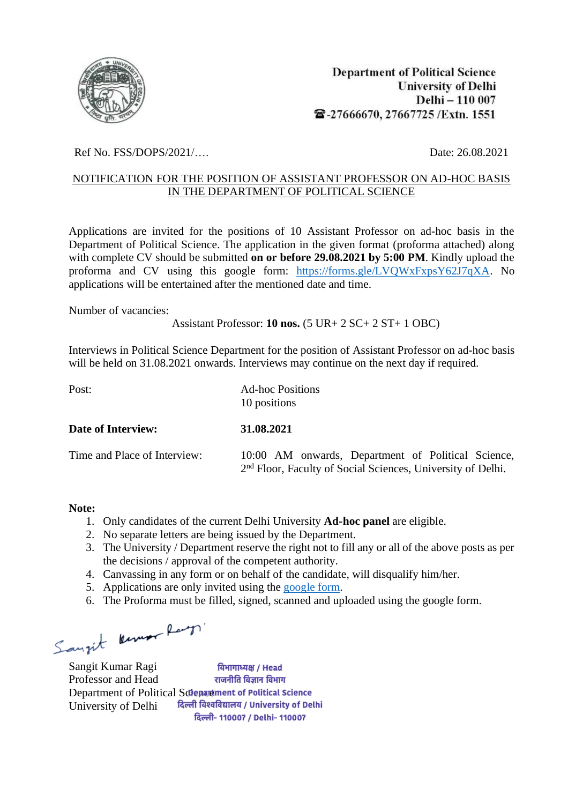

Ref No. FSS/DOPS/2021/….<br>Date: 26.08.2021

## NOTIFICATION FOR THE POSITION OF ASSISTANT PROFESSOR ON AD-HOC BASIS IN THE DEPARTMENT OF POLITICAL SCIENCE

Applications are invited for the positions of 10 Assistant Professor on ad-hoc basis in the Department of Political Science. The application in the given format (proforma attached) along with complete CV should be submitted **on or before 29.08.2021 by 5:00 PM**. Kindly upload the proforma and CV using this google form: [https://forms.gle/LVQWxFxpsY62J7qXA.](https://forms.gle/LVQWxFxpsY62J7qXA) No applications will be entertained after the mentioned date and time.

Number of vacancies:

Assistant Professor: **10 nos.** (5 UR+ 2 SC+ 2 ST+ 1 OBC)

Interviews in Political Science Department for the position of Assistant Professor on ad-hoc basis will be held on 31.08.2021 onwards. Interviews may continue on the next day if required.

| Post:                        | <b>Ad-hoc Positions</b><br>10 positions                                                                                       |  |
|------------------------------|-------------------------------------------------------------------------------------------------------------------------------|--|
| <b>Date of Interview:</b>    | 31.08.2021                                                                                                                    |  |
| Time and Place of Interview: | 10:00 AM onwards, Department of Political Science,<br>2 <sup>nd</sup> Floor, Faculty of Social Sciences, University of Delhi. |  |

## **Note:**

- 1. Only candidates of the current Delhi University **Ad-hoc panel** are eligible.
- 2. No separate letters are being issued by the Department.
- 3. The University / Department reserve the right not to fill any or all of the above posts as per the decisions / approval of the competent authority.
- 4. Canvassing in any form or on behalf of the candidate, will disqualify him/her.
- 5. Applications are only invited using the [google form.](https://forms.gle/LVQWxFxpsY62J7qXA)
- 6. The Proforma must be filled, signed, scanned and uploaded using the google form.

Sangit Kenner Ray

Sangit Kumar Ragi विभागाध्यक्ष / Head Professor and Head राजनीति विज्ञान विभाग Department of Political Science and relationship Political Science<br>
University of Delhi **दिल्ली विश्वविद्यालय** / University of Delhi University of Delhi दिल्ली- 110007 / Delhi- 110007